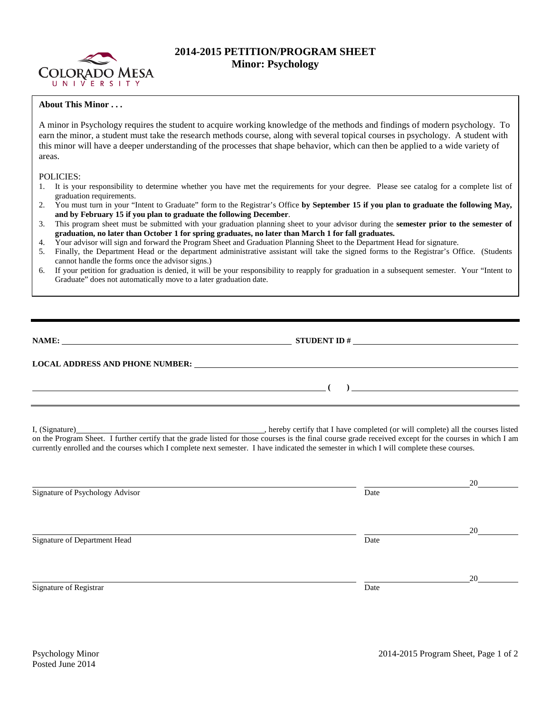

## **2014-2015 PETITION/PROGRAM SHEET Minor: Psychology**

## **About This Minor . . .**

A minor in Psychology requires the student to acquire working knowledge of the methods and findings of modern psychology. To earn the minor, a student must take the research methods course, along with several topical courses in psychology. A student with this minor will have a deeper understanding of the processes that shape behavior, which can then be applied to a wide variety of areas.

## POLICIES:

- 1. It is your responsibility to determine whether you have met the requirements for your degree. Please see catalog for a complete list of graduation requirements.
- 2. You must turn in your "Intent to Graduate" form to the Registrar's Office **by September 15 if you plan to graduate the following May, and by February 15 if you plan to graduate the following December**.
- 3. This program sheet must be submitted with your graduation planning sheet to your advisor during the **semester prior to the semester of graduation, no later than October 1 for spring graduates, no later than March 1 for fall graduates.**
- 4. Your advisor will sign and forward the Program Sheet and Graduation Planning Sheet to the Department Head for signature.
- 5. Finally, the Department Head or the department administrative assistant will take the signed forms to the Registrar's Office. (Students cannot handle the forms once the advisor signs.)
- 6. If your petition for graduation is denied, it will be your responsibility to reapply for graduation in a subsequent semester. Your "Intent to Graduate" does not automatically move to a later graduation date.

| NAME:<br><u>and the contract of the contract of the contract of the contract of the contract of the contract of the contract of the contract of the contract of the contract of the contract of the contract of the contract of the contr</u> | <b>STUDENT ID#</b><br>the contract of the contract of the contract of the contract of the contract of the contract of the contract of |  |  |
|-----------------------------------------------------------------------------------------------------------------------------------------------------------------------------------------------------------------------------------------------|---------------------------------------------------------------------------------------------------------------------------------------|--|--|
| <b>LOCAL ADDRESS AND PHONE NUMBER:</b>                                                                                                                                                                                                        |                                                                                                                                       |  |  |
|                                                                                                                                                                                                                                               |                                                                                                                                       |  |  |

I, (Signature) , hereby certify that I have completed (or will complete) all the courses listed on the Program Sheet. I further certify that the grade listed for those courses is the final course grade received except for the courses in which I am currently enrolled and the courses which I complete next semester. I have indicated the semester in which I will complete these courses.

|                                 |      | 20 |
|---------------------------------|------|----|
| Signature of Psychology Advisor | Date |    |
|                                 |      |    |
|                                 |      |    |
|                                 |      | 20 |
| Signature of Department Head    | Date |    |
|                                 |      |    |
|                                 |      |    |
|                                 |      | 20 |
| Signature of Registrar          | Date |    |
|                                 |      |    |